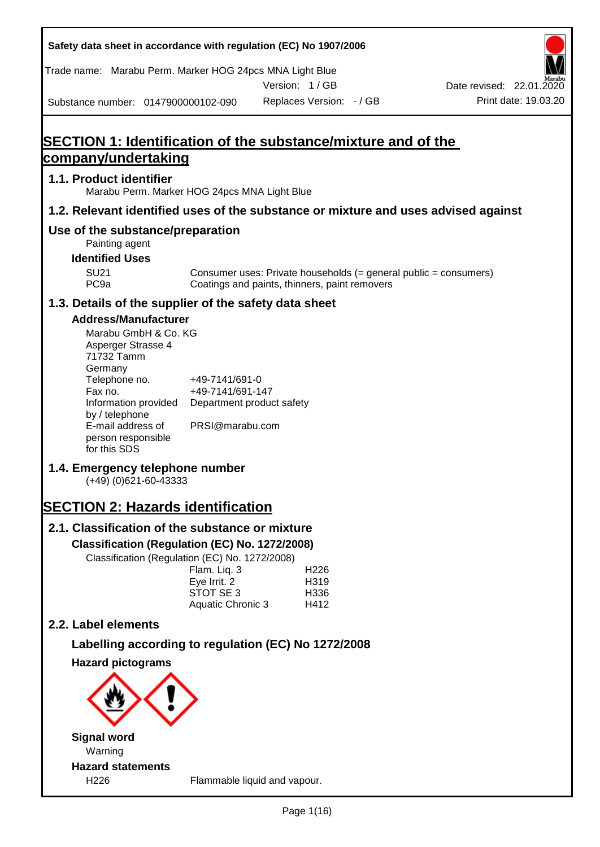| Safety data sheet in accordance with regulation (EC) No 1907/2006                                                   |                                                                  |               |                          |                                                                  |
|---------------------------------------------------------------------------------------------------------------------|------------------------------------------------------------------|---------------|--------------------------|------------------------------------------------------------------|
| Trade name: Marabu Perm. Marker HOG 24pcs MNA Light Blue                                                            |                                                                  |               |                          |                                                                  |
|                                                                                                                     |                                                                  | Version: 1/GB |                          | Date revised: 22.01.2020                                         |
| Substance number: 0147900000102-090                                                                                 |                                                                  |               | Replaces Version: - / GB | Print date: 19.03.20                                             |
| <b>SECTION 1: Identification of the substance/mixture and of the</b>                                                |                                                                  |               |                          |                                                                  |
| company/undertaking                                                                                                 |                                                                  |               |                          |                                                                  |
| 1.1. Product identifier<br>Marabu Perm. Marker HOG 24pcs MNA Light Blue                                             |                                                                  |               |                          |                                                                  |
| 1.2. Relevant identified uses of the substance or mixture and uses advised against                                  |                                                                  |               |                          |                                                                  |
| Use of the substance/preparation<br>Painting agent                                                                  |                                                                  |               |                          |                                                                  |
| <b>Identified Uses</b>                                                                                              |                                                                  |               |                          |                                                                  |
| <b>SU21</b><br>PC <sub>9a</sub>                                                                                     | Coatings and paints, thinners, paint removers                    |               |                          | Consumer uses: Private households (= general public = consumers) |
| 1.3. Details of the supplier of the safety data sheet                                                               |                                                                  |               |                          |                                                                  |
| <b>Address/Manufacturer</b><br>Marabu GmbH & Co. KG<br>Asperger Strasse 4<br>71732 Tamm<br>Germany<br>Telephone no. | +49-7141/691-0                                                   |               |                          |                                                                  |
| Fax no.<br>Information provided<br>by / telephone<br>E-mail address of                                              | +49-7141/691-147<br>Department product safety<br>PRSI@marabu.com |               |                          |                                                                  |
| person responsible<br>for this SDS                                                                                  |                                                                  |               |                          |                                                                  |
| 1.4. Emergency telephone number<br>$(+49)$ (0)621-60-43333                                                          |                                                                  |               |                          |                                                                  |
| <b>SECTION 2: Hazards identification</b>                                                                            |                                                                  |               |                          |                                                                  |
| 2.1. Classification of the substance or mixture                                                                     |                                                                  |               |                          |                                                                  |
| Classification (Regulation (EC) No. 1272/2008)                                                                      |                                                                  |               |                          |                                                                  |
| Classification (Regulation (EC) No. 1272/2008)                                                                      | Flam. Liq. 3                                                     |               | H226                     |                                                                  |
|                                                                                                                     | Eye Irrit. 2                                                     |               | H319                     |                                                                  |
|                                                                                                                     | STOT SE 3<br>Aquatic Chronic 3                                   |               | H336<br>H412             |                                                                  |
| 2.2. Label elements                                                                                                 |                                                                  |               |                          |                                                                  |
| Labelling according to regulation (EC) No 1272/2008                                                                 |                                                                  |               |                          |                                                                  |
| <b>Hazard pictograms</b>                                                                                            |                                                                  |               |                          |                                                                  |
|                                                                                                                     |                                                                  |               |                          |                                                                  |
| <b>Signal word</b><br>Warning                                                                                       |                                                                  |               |                          |                                                                  |
| <b>Hazard statements</b><br>H226                                                                                    | Flammable liquid and vapour.                                     |               |                          |                                                                  |

T

٦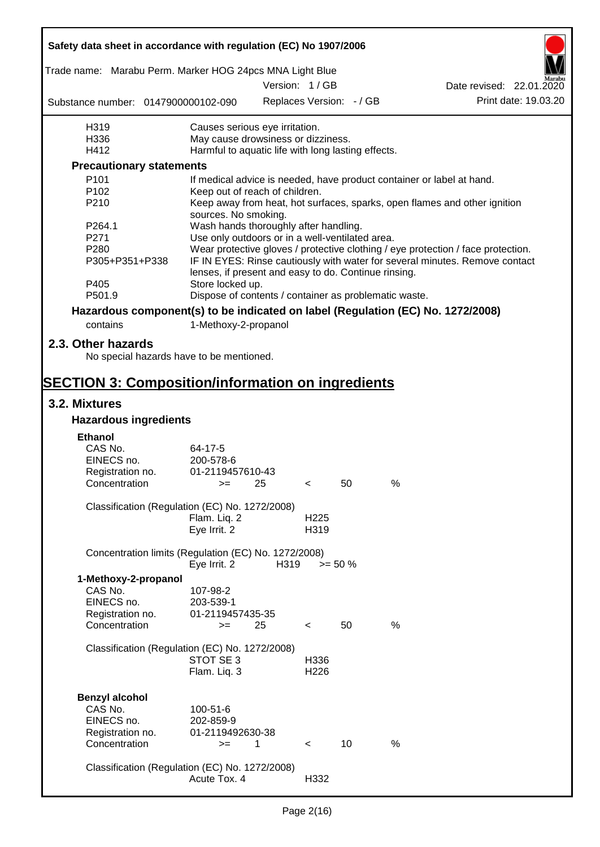| Safety data sheet in accordance with regulation (EC) No 1907/2006                           |                                                                           |      |                          |                          |      |                                                                                  |
|---------------------------------------------------------------------------------------------|---------------------------------------------------------------------------|------|--------------------------|--------------------------|------|----------------------------------------------------------------------------------|
| Trade name: Marabu Perm. Marker HOG 24pcs MNA Light Blue                                    |                                                                           |      |                          |                          |      |                                                                                  |
|                                                                                             |                                                                           |      | Version: 1 / GB          |                          |      | Date revised: 22.01.2020                                                         |
| Substance number: 0147900000102-090                                                         |                                                                           |      |                          | Replaces Version: - / GB |      | Print date: 19.03.20                                                             |
| H319                                                                                        | Causes serious eye irritation.                                            |      |                          |                          |      |                                                                                  |
| H336                                                                                        | May cause drowsiness or dizziness.                                        |      |                          |                          |      |                                                                                  |
| H412                                                                                        | Harmful to aquatic life with long lasting effects.                        |      |                          |                          |      |                                                                                  |
| <b>Precautionary statements</b>                                                             |                                                                           |      |                          |                          |      |                                                                                  |
| P <sub>101</sub>                                                                            |                                                                           |      |                          |                          |      | If medical advice is needed, have product container or label at hand.            |
| P102                                                                                        | Keep out of reach of children.                                            |      |                          |                          |      |                                                                                  |
| P210                                                                                        | sources. No smoking.                                                      |      |                          |                          |      | Keep away from heat, hot surfaces, sparks, open flames and other ignition        |
| P264.1                                                                                      | Wash hands thoroughly after handling.                                     |      |                          |                          |      |                                                                                  |
| P271                                                                                        | Use only outdoors or in a well-ventilated area.                           |      |                          |                          |      |                                                                                  |
| P280                                                                                        |                                                                           |      |                          |                          |      | Wear protective gloves / protective clothing / eye protection / face protection. |
| P305+P351+P338                                                                              | lenses, if present and easy to do. Continue rinsing.                      |      |                          |                          |      | IF IN EYES: Rinse cautiously with water for several minutes. Remove contact      |
| P405<br>P501.9                                                                              | Store locked up.<br>Dispose of contents / container as problematic waste. |      |                          |                          |      |                                                                                  |
|                                                                                             |                                                                           |      |                          |                          |      |                                                                                  |
| Hazardous component(s) to be indicated on label (Regulation (EC) No. 1272/2008)<br>contains |                                                                           |      |                          |                          |      |                                                                                  |
|                                                                                             | 1-Methoxy-2-propanol                                                      |      |                          |                          |      |                                                                                  |
| 2.3. Other hazards<br>No special hazards have to be mentioned.                              |                                                                           |      |                          |                          |      |                                                                                  |
|                                                                                             |                                                                           |      |                          |                          |      |                                                                                  |
| <b>SECTION 3: Composition/information on ingredients</b>                                    |                                                                           |      |                          |                          |      |                                                                                  |
| 3.2. Mixtures                                                                               |                                                                           |      |                          |                          |      |                                                                                  |
| <b>Hazardous ingredients</b>                                                                |                                                                           |      |                          |                          |      |                                                                                  |
| <b>Ethanol</b>                                                                              |                                                                           |      |                          |                          |      |                                                                                  |
| CAS No.                                                                                     | 64-17-5                                                                   |      |                          |                          |      |                                                                                  |
| EINECS no.                                                                                  | 200-578-6                                                                 |      |                          |                          |      |                                                                                  |
| Registration no.                                                                            | 01-2119457610-43                                                          |      |                          |                          |      |                                                                                  |
| Concentration                                                                               | $>=$ 25                                                                   |      | $\epsilon$               | 50                       | $\%$ |                                                                                  |
| Classification (Regulation (EC) No. 1272/2008)                                              |                                                                           |      |                          |                          |      |                                                                                  |
|                                                                                             | Flam. Liq. 2                                                              |      | H <sub>225</sub>         |                          |      |                                                                                  |
|                                                                                             | Eye Irrit. 2                                                              |      | H319                     |                          |      |                                                                                  |
| Concentration limits (Regulation (EC) No. 1272/2008)                                        |                                                                           |      |                          |                          |      |                                                                                  |
|                                                                                             | Eye Irrit. 2                                                              | H319 |                          | $>= 50 \%$               |      |                                                                                  |
| 1-Methoxy-2-propanol                                                                        |                                                                           |      |                          |                          |      |                                                                                  |
| CAS No.                                                                                     | 107-98-2                                                                  |      |                          |                          |      |                                                                                  |
| EINECS no.                                                                                  | 203-539-1                                                                 |      |                          |                          |      |                                                                                  |
| Registration no.<br>Concentration                                                           | 01-2119457435-35<br>$=$                                                   | 25   |                          | 50                       | $\%$ |                                                                                  |
|                                                                                             |                                                                           |      | $\overline{\phantom{a}}$ |                          |      |                                                                                  |
| Classification (Regulation (EC) No. 1272/2008)                                              |                                                                           |      |                          |                          |      |                                                                                  |
|                                                                                             | STOT SE 3                                                                 |      | H336                     |                          |      |                                                                                  |
|                                                                                             | Flam. Liq. 3                                                              |      | H226                     |                          |      |                                                                                  |
|                                                                                             |                                                                           |      |                          |                          |      |                                                                                  |
| <b>Benzyl alcohol</b>                                                                       |                                                                           |      |                          |                          |      |                                                                                  |
| CAS No.                                                                                     | 100-51-6                                                                  |      |                          |                          |      |                                                                                  |
| EINECS no.                                                                                  | 202-859-9                                                                 |      |                          |                          |      |                                                                                  |
| Registration no.                                                                            | 01-2119492630-38                                                          |      |                          | 10                       | %    |                                                                                  |
| Concentration                                                                               | $>=$                                                                      | 1    | $\prec$                  |                          |      |                                                                                  |
| Classification (Regulation (EC) No. 1272/2008)                                              |                                                                           |      |                          |                          |      |                                                                                  |
|                                                                                             | Acute Tox. 4                                                              |      | H332                     |                          |      |                                                                                  |
|                                                                                             |                                                                           |      |                          |                          |      |                                                                                  |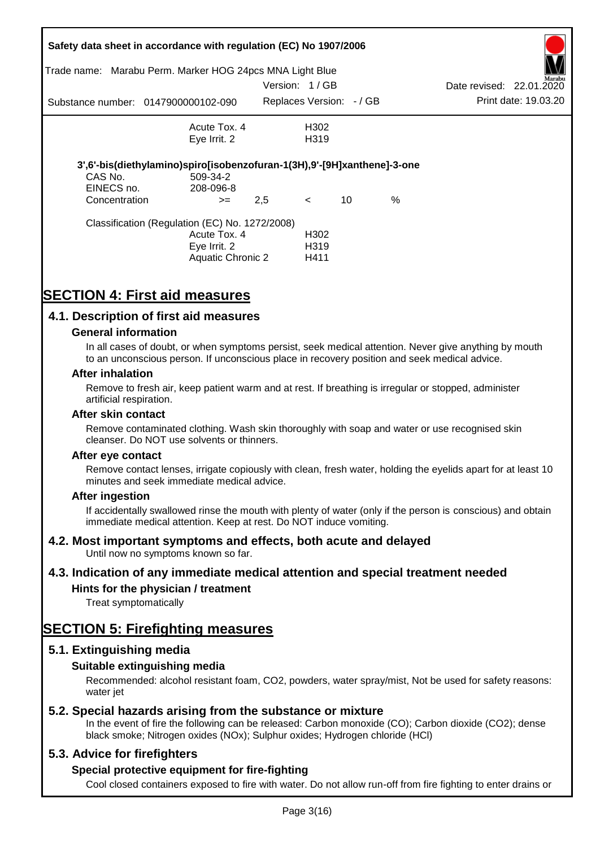| Trade name:                 | Safety data sheet in accordance with regulation (EC) No 1907/2006<br>Marabu Perm. Marker HOG 24pcs MNA Light Blue |               |                         |    |   |                          |                      |
|-----------------------------|-------------------------------------------------------------------------------------------------------------------|---------------|-------------------------|----|---|--------------------------|----------------------|
|                             |                                                                                                                   | Version: 1/GB |                         |    |   | Date revised: 22.01.2020 | Marabu               |
|                             | Substance number: 0147900000102-090                                                                               |               | Replaces Version: -/ GB |    |   |                          | Print date: 19.03.20 |
|                             | Acute Tox, 4                                                                                                      |               | H302                    |    |   |                          |                      |
|                             | Eye Irrit. 2                                                                                                      |               | H <sub>3</sub> 19       |    |   |                          |                      |
| CAS No.                     | 3',6'-bis(diethylamino)spiro[isobenzofuran-1(3H),9'-[9H]xanthene]-3-one<br>509-34-2                               |               |                         |    |   |                          |                      |
| EINECS no.<br>Concentration | 208-096-8<br>$>=$                                                                                                 | 2,5           | $\leq$                  | 10 | % |                          |                      |
|                             |                                                                                                                   |               |                         |    |   |                          |                      |
|                             | Classification (Regulation (EC) No. 1272/2008)                                                                    |               |                         |    |   |                          |                      |
|                             | Acute Tox. 4                                                                                                      |               | H <sub>302</sub>        |    |   |                          |                      |
|                             | Eye Irrit. 2                                                                                                      |               | H319                    |    |   |                          |                      |
|                             | Aquatic Chronic 2                                                                                                 |               | H411                    |    |   |                          |                      |

# **SECTION 4: First aid measures**

# **4.1. Description of first aid measures**

### **General information**

In all cases of doubt, or when symptoms persist, seek medical attention. Never give anything by mouth to an unconscious person. If unconscious place in recovery position and seek medical advice.

#### **After inhalation**

Remove to fresh air, keep patient warm and at rest. If breathing is irregular or stopped, administer artificial respiration.

#### **After skin contact**

Remove contaminated clothing. Wash skin thoroughly with soap and water or use recognised skin cleanser. Do NOT use solvents or thinners.

#### **After eye contact**

Remove contact lenses, irrigate copiously with clean, fresh water, holding the eyelids apart for at least 10 minutes and seek immediate medical advice.

#### **After ingestion**

If accidentally swallowed rinse the mouth with plenty of water (only if the person is conscious) and obtain immediate medical attention. Keep at rest. Do NOT induce vomiting.

# **4.2. Most important symptoms and effects, both acute and delayed**

Until now no symptoms known so far.

# **4.3. Indication of any immediate medical attention and special treatment needed**

# **Hints for the physician / treatment**

Treat symptomatically

# **SECTION 5: Firefighting measures**

# **5.1. Extinguishing media**

# **Suitable extinguishing media**

Recommended: alcohol resistant foam, CO2, powders, water spray/mist, Not be used for safety reasons: water *iet* 

# **5.2. Special hazards arising from the substance or mixture**

In the event of fire the following can be released: Carbon monoxide (CO); Carbon dioxide (CO2); dense black smoke; Nitrogen oxides (NOx); Sulphur oxides; Hydrogen chloride (HCl)

# **5.3. Advice for firefighters**

# **Special protective equipment for fire-fighting**

Cool closed containers exposed to fire with water. Do not allow run-off from fire fighting to enter drains or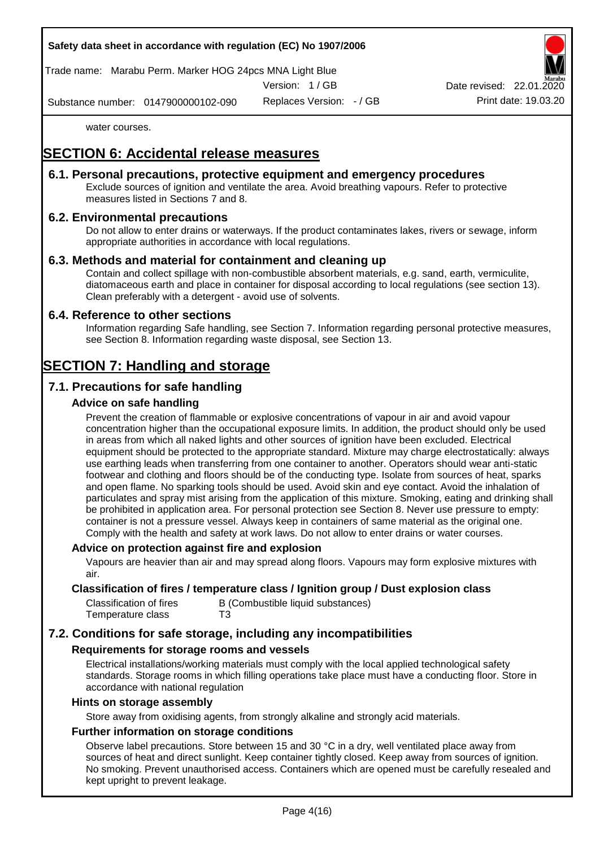Trade name: Marabu Perm. Marker HOG 24pcs MNA Light Blue

Version: 1 / GB

Replaces Version: - / GB Print date: 19.03.20 Date revised: 22.01.

Substance number: 0147900000102-090

water courses.

# **SECTION 6: Accidental release measures**

# **6.1. Personal precautions, protective equipment and emergency procedures**

Exclude sources of ignition and ventilate the area. Avoid breathing vapours. Refer to protective measures listed in Sections 7 and 8.

# **6.2. Environmental precautions**

Do not allow to enter drains or waterways. If the product contaminates lakes, rivers or sewage, inform appropriate authorities in accordance with local regulations.

### **6.3. Methods and material for containment and cleaning up**

Contain and collect spillage with non-combustible absorbent materials, e.g. sand, earth, vermiculite, diatomaceous earth and place in container for disposal according to local regulations (see section 13). Clean preferably with a detergent - avoid use of solvents.

### **6.4. Reference to other sections**

Information regarding Safe handling, see Section 7. Information regarding personal protective measures, see Section 8. Information regarding waste disposal, see Section 13.

# **SECTION 7: Handling and storage**

# **7.1. Precautions for safe handling**

### **Advice on safe handling**

Prevent the creation of flammable or explosive concentrations of vapour in air and avoid vapour concentration higher than the occupational exposure limits. In addition, the product should only be used in areas from which all naked lights and other sources of ignition have been excluded. Electrical equipment should be protected to the appropriate standard. Mixture may charge electrostatically: always use earthing leads when transferring from one container to another. Operators should wear anti-static footwear and clothing and floors should be of the conducting type. Isolate from sources of heat, sparks and open flame. No sparking tools should be used. Avoid skin and eye contact. Avoid the inhalation of particulates and spray mist arising from the application of this mixture. Smoking, eating and drinking shall be prohibited in application area. For personal protection see Section 8. Never use pressure to empty: container is not a pressure vessel. Always keep in containers of same material as the original one. Comply with the health and safety at work laws. Do not allow to enter drains or water courses.

#### **Advice on protection against fire and explosion**

Vapours are heavier than air and may spread along floors. Vapours may form explosive mixtures with air.

### **Classification of fires / temperature class / Ignition group / Dust explosion class**

| Classification of fires | B (Combustible liquid substances) |
|-------------------------|-----------------------------------|
| Temperature class       | T3                                |

# **7.2. Conditions for safe storage, including any incompatibilities**

#### **Requirements for storage rooms and vessels**

Electrical installations/working materials must comply with the local applied technological safety standards. Storage rooms in which filling operations take place must have a conducting floor. Store in accordance with national regulation

#### **Hints on storage assembly**

Store away from oxidising agents, from strongly alkaline and strongly acid materials.

### **Further information on storage conditions**

Observe label precautions. Store between 15 and 30 °C in a dry, well ventilated place away from sources of heat and direct sunlight. Keep container tightly closed. Keep away from sources of ignition. No smoking. Prevent unauthorised access. Containers which are opened must be carefully resealed and kept upright to prevent leakage.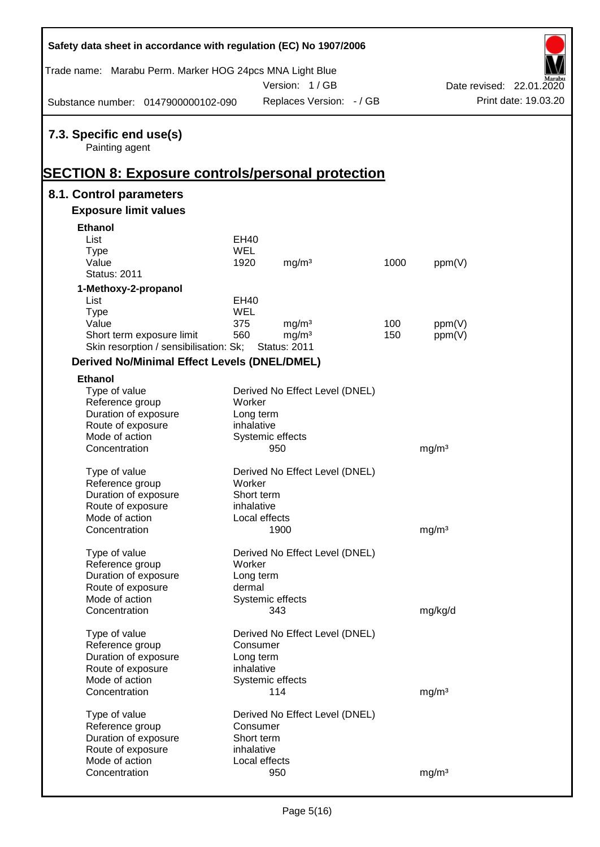| Safety data sheet in accordance with regulation (EC) No 1907/2006                                            |               |                                |      |                   |                          |
|--------------------------------------------------------------------------------------------------------------|---------------|--------------------------------|------|-------------------|--------------------------|
| Trade name: Marabu Perm. Marker HOG 24pcs MNA Light Blue                                                     |               | Version: 1/GB                  |      |                   | Date revised: 22.01.2020 |
| Substance number: 0147900000102-090                                                                          |               | Replaces Version: - / GB       |      |                   | Print date: 19.03.20     |
| 7.3. Specific end use(s)<br>Painting agent<br><u><b>SECTION 8: Exposure controls/personal protection</b></u> |               |                                |      |                   |                          |
| 8.1. Control parameters                                                                                      |               |                                |      |                   |                          |
| <b>Exposure limit values</b>                                                                                 |               |                                |      |                   |                          |
| <b>Ethanol</b>                                                                                               |               |                                |      |                   |                          |
| List                                                                                                         | EH40          |                                |      |                   |                          |
| <b>Type</b>                                                                                                  | <b>WEL</b>    |                                |      |                   |                          |
| Value                                                                                                        | 1920          | mg/m <sup>3</sup>              | 1000 | ppm(V)            |                          |
| <b>Status: 2011</b>                                                                                          |               |                                |      |                   |                          |
| 1-Methoxy-2-propanol                                                                                         |               |                                |      |                   |                          |
| List                                                                                                         | <b>EH40</b>   |                                |      |                   |                          |
| <b>Type</b>                                                                                                  | <b>WEL</b>    |                                |      |                   |                          |
| Value                                                                                                        | 375           | mg/m <sup>3</sup>              | 100  | ppm(V)            |                          |
| Short term exposure limit                                                                                    | 560           | mg/m <sup>3</sup>              | 150  | ppm(V)            |                          |
| Skin resorption / sensibilisation: Sk;                                                                       |               | <b>Status: 2011</b>            |      |                   |                          |
| <b>Derived No/Minimal Effect Levels (DNEL/DMEL)</b>                                                          |               |                                |      |                   |                          |
| <b>Ethanol</b>                                                                                               |               |                                |      |                   |                          |
| Type of value                                                                                                |               | Derived No Effect Level (DNEL) |      |                   |                          |
| Reference group                                                                                              | Worker        |                                |      |                   |                          |
| Duration of exposure                                                                                         | Long term     |                                |      |                   |                          |
| Route of exposure                                                                                            | inhalative    |                                |      |                   |                          |
| Mode of action                                                                                               |               | Systemic effects               |      |                   |                          |
| Concentration                                                                                                |               | 950                            |      | mg/m <sup>3</sup> |                          |
|                                                                                                              |               |                                |      |                   |                          |
| Type of value                                                                                                | Worker        | Derived No Effect Level (DNEL) |      |                   |                          |
| Reference group<br>Duration of exposure                                                                      | Short term    |                                |      |                   |                          |
| Route of exposure                                                                                            | inhalative    |                                |      |                   |                          |
| Mode of action                                                                                               | Local effects |                                |      |                   |                          |
| Concentration                                                                                                |               | 1900                           |      | mg/m <sup>3</sup> |                          |
|                                                                                                              |               |                                |      |                   |                          |
| Type of value                                                                                                |               | Derived No Effect Level (DNEL) |      |                   |                          |
| Reference group                                                                                              | Worker        |                                |      |                   |                          |
| Duration of exposure                                                                                         | Long term     |                                |      |                   |                          |
| Route of exposure                                                                                            | dermal        |                                |      |                   |                          |
| Mode of action                                                                                               |               | Systemic effects               |      |                   |                          |
| Concentration                                                                                                |               | 343                            |      | mg/kg/d           |                          |
| Type of value                                                                                                |               | Derived No Effect Level (DNEL) |      |                   |                          |
| Reference group                                                                                              | Consumer      |                                |      |                   |                          |
| Duration of exposure                                                                                         | Long term     |                                |      |                   |                          |
| Route of exposure                                                                                            | inhalative    |                                |      |                   |                          |
| Mode of action                                                                                               |               | Systemic effects               |      |                   |                          |
| Concentration                                                                                                |               | 114                            |      | mg/m <sup>3</sup> |                          |
|                                                                                                              |               |                                |      |                   |                          |
| Type of value                                                                                                |               | Derived No Effect Level (DNEL) |      |                   |                          |
| Reference group                                                                                              | Consumer      |                                |      |                   |                          |
| Duration of exposure                                                                                         | Short term    |                                |      |                   |                          |
| Route of exposure<br>Mode of action                                                                          | inhalative    |                                |      |                   |                          |
| Concentration                                                                                                | Local effects | 950                            |      |                   |                          |
|                                                                                                              |               |                                |      | mg/m <sup>3</sup> |                          |

Г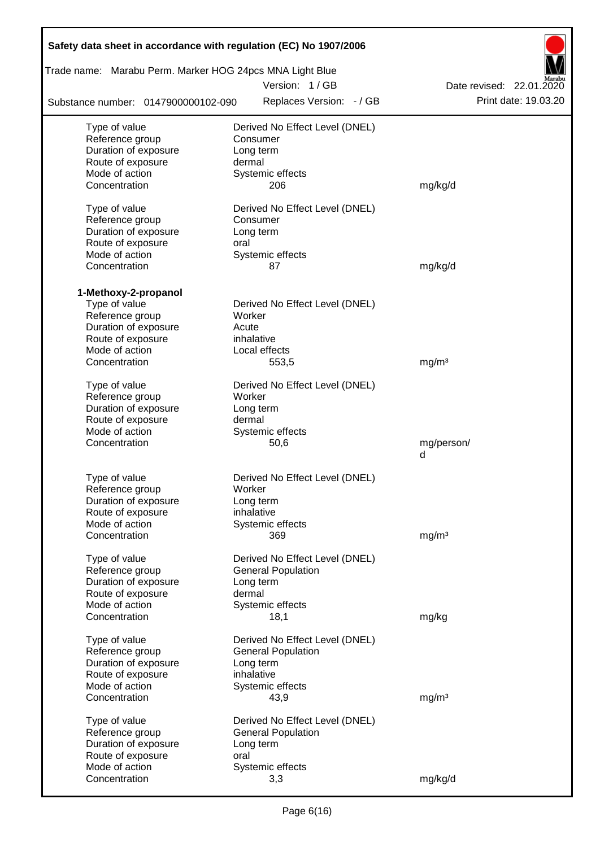| Safety data sheet in accordance with regulation (EC) No 1907/2006 |                                |                          |
|-------------------------------------------------------------------|--------------------------------|--------------------------|
| Trade name: Marabu Perm. Marker HOG 24pcs MNA Light Blue          | Version: 1/GB                  | Date revised: 22.01.2020 |
| Substance number: 0147900000102-090                               | Replaces Version: - / GB       | Print date: 19.03.20     |
| Type of value                                                     | Derived No Effect Level (DNEL) |                          |
| Reference group                                                   | Consumer                       |                          |
| Duration of exposure                                              | Long term                      |                          |
| Route of exposure                                                 | dermal                         |                          |
| Mode of action                                                    | Systemic effects               |                          |
| Concentration                                                     | 206                            | mg/kg/d                  |
| Type of value                                                     | Derived No Effect Level (DNEL) |                          |
| Reference group                                                   | Consumer                       |                          |
| Duration of exposure                                              | Long term                      |                          |
| Route of exposure                                                 | oral                           |                          |
| Mode of action                                                    | Systemic effects               |                          |
| Concentration                                                     | 87                             | mg/kg/d                  |
| 1-Methoxy-2-propanol                                              |                                |                          |
| Type of value                                                     | Derived No Effect Level (DNEL) |                          |
| Reference group                                                   | Worker                         |                          |
| Duration of exposure                                              | Acute                          |                          |
| Route of exposure                                                 | inhalative                     |                          |
| Mode of action                                                    | Local effects                  |                          |
| Concentration                                                     | 553,5                          | mg/m <sup>3</sup>        |
| Type of value                                                     | Derived No Effect Level (DNEL) |                          |
| Reference group                                                   | Worker                         |                          |
| Duration of exposure                                              | Long term                      |                          |
| Route of exposure                                                 | dermal                         |                          |
| Mode of action                                                    | Systemic effects               |                          |
| Concentration                                                     | 50,6                           | mg/person/               |
|                                                                   |                                | d                        |
| Type of value                                                     | Derived No Effect Level (DNEL) |                          |
| Reference group                                                   | Worker                         |                          |
| Duration of exposure                                              | Long term                      |                          |
| Route of exposure                                                 | inhalative                     |                          |
| Mode of action                                                    | Systemic effects               |                          |
| Concentration                                                     | 369                            | mg/m <sup>3</sup>        |
| Type of value                                                     | Derived No Effect Level (DNEL) |                          |
| Reference group                                                   | <b>General Population</b>      |                          |
| Duration of exposure                                              | Long term                      |                          |
| Route of exposure                                                 | dermal                         |                          |
| Mode of action                                                    | Systemic effects               |                          |
| Concentration                                                     | 18,1                           | mg/kg                    |
| Type of value                                                     | Derived No Effect Level (DNEL) |                          |
| Reference group                                                   | <b>General Population</b>      |                          |
| Duration of exposure                                              | Long term                      |                          |
| Route of exposure                                                 | inhalative                     |                          |
| Mode of action                                                    | Systemic effects               |                          |
| Concentration                                                     | 43,9                           | mg/m <sup>3</sup>        |
| Type of value                                                     | Derived No Effect Level (DNEL) |                          |
| Reference group                                                   | <b>General Population</b>      |                          |
| Duration of exposure                                              | Long term                      |                          |
| Route of exposure                                                 | oral                           |                          |
| Mode of action                                                    | Systemic effects               |                          |
| Concentration                                                     | 3,3                            | mg/kg/d                  |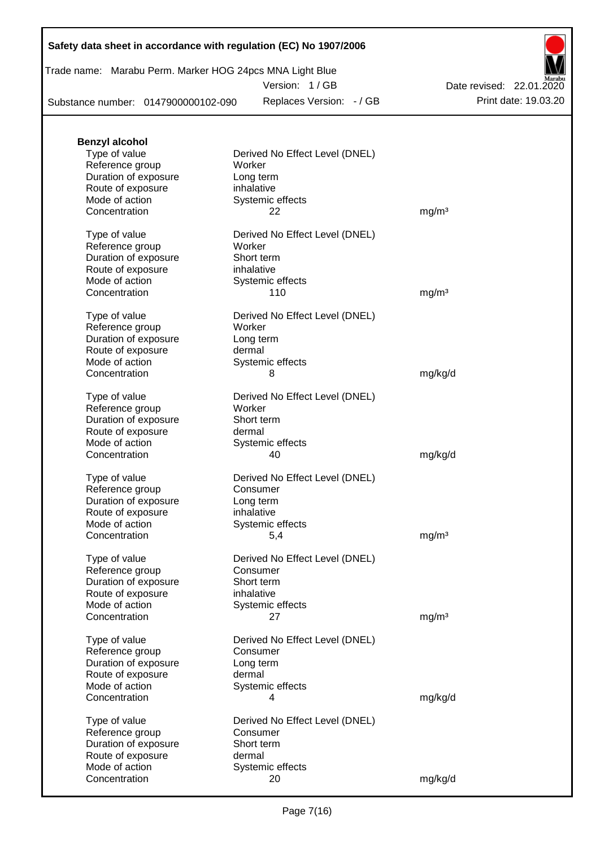| Trade name: Marabu Perm. Marker HOG 24pcs MNA Light Blue |  |  |  |
|----------------------------------------------------------|--|--|--|
|----------------------------------------------------------|--|--|--|

Version: 1 / GB

Substance number: 0147900000102-090

Replaces Version: - / GB Print date: 19.03.20 Date revised: 22.01.2020

| <b>Benzyl alcohol</b> |                                |                   |
|-----------------------|--------------------------------|-------------------|
| Type of value         | Derived No Effect Level (DNEL) |                   |
| Reference group       | Worker                         |                   |
| Duration of exposure  | Long term                      |                   |
| Route of exposure     | inhalative                     |                   |
| Mode of action        | Systemic effects               |                   |
| Concentration         | 22                             | mg/m <sup>3</sup> |
| Type of value         | Derived No Effect Level (DNEL) |                   |
| Reference group       | Worker                         |                   |
| Duration of exposure  | Short term                     |                   |
| Route of exposure     | inhalative                     |                   |
| Mode of action        | Systemic effects               |                   |
| Concentration         | 110                            | mg/m <sup>3</sup> |
| Type of value         | Derived No Effect Level (DNEL) |                   |
| Reference group       | Worker                         |                   |
| Duration of exposure  | Long term                      |                   |
| Route of exposure     | dermal                         |                   |
| Mode of action        | Systemic effects               |                   |
| Concentration         | 8                              | mg/kg/d           |
| Type of value         | Derived No Effect Level (DNEL) |                   |
| Reference group       | Worker                         |                   |
| Duration of exposure  | Short term                     |                   |
| Route of exposure     | dermal                         |                   |
| Mode of action        | Systemic effects               |                   |
| Concentration         | 40                             | mg/kg/d           |
| Type of value         | Derived No Effect Level (DNEL) |                   |
| Reference group       | Consumer                       |                   |
| Duration of exposure  | Long term                      |                   |
| Route of exposure     | inhalative                     |                   |
| Mode of action        | Systemic effects               |                   |
| Concentration         | 5,4                            | mg/m <sup>3</sup> |
| Type of value         | Derived No Effect Level (DNEL) |                   |
| Reference group       | Consumer                       |                   |
| Duration of exposure  | Short term                     |                   |
| Route of exposure     | inhalative                     |                   |
| Mode of action        | Systemic effects               |                   |
| Concentration         | 27                             | mg/m <sup>3</sup> |
| Type of value         | Derived No Effect Level (DNEL) |                   |
| Reference group       | Consumer                       |                   |
| Duration of exposure  | Long term                      |                   |
| Route of exposure     | dermal                         |                   |
| Mode of action        | Systemic effects               |                   |
| Concentration         | 4                              | mg/kg/d           |
| Type of value         | Derived No Effect Level (DNEL) |                   |
| Reference group       | Consumer                       |                   |
| Duration of exposure  | Short term                     |                   |
| Route of exposure     | dermal                         |                   |
| Mode of action        | Systemic effects               |                   |
| Concentration         | 20                             | mg/kg/d           |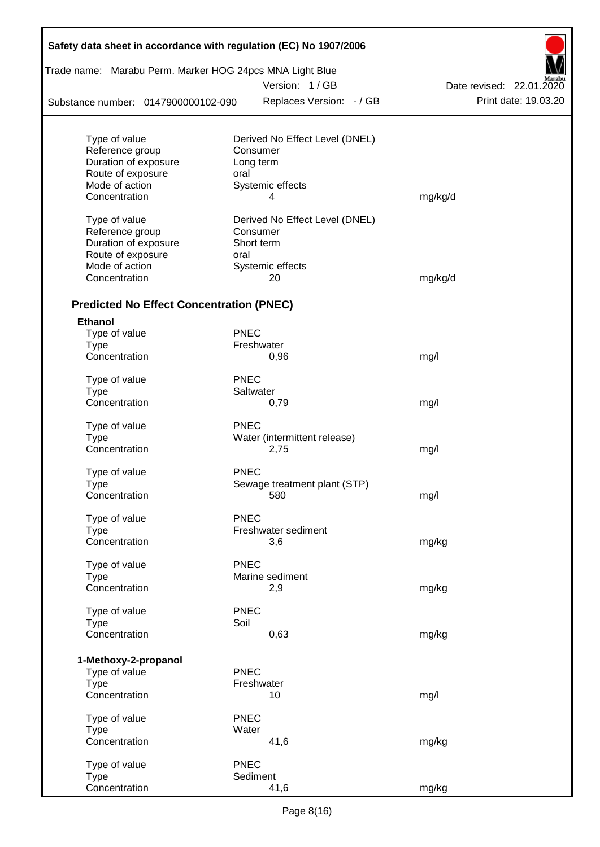| Trade name: Marabu Perm. Marker HOG 24pcs MNA Light Blue |             |                                |                          |
|----------------------------------------------------------|-------------|--------------------------------|--------------------------|
|                                                          |             | Version: 1/GB                  | Date revised: 22.01.2020 |
| Substance number: 0147900000102-090                      |             | Replaces Version: - / GB       | Print date: 19.03.20     |
| Type of value                                            |             | Derived No Effect Level (DNEL) |                          |
| Reference group                                          |             | Consumer                       |                          |
| Duration of exposure                                     |             | Long term                      |                          |
| Route of exposure                                        | oral        |                                |                          |
| Mode of action                                           |             | Systemic effects               |                          |
| Concentration                                            |             | 4                              | mg/kg/d                  |
| Type of value                                            |             | Derived No Effect Level (DNEL) |                          |
| Reference group                                          |             | Consumer                       |                          |
| Duration of exposure                                     |             | Short term                     |                          |
| Route of exposure                                        | oral        |                                |                          |
| Mode of action                                           |             | Systemic effects               |                          |
| Concentration                                            |             | 20                             | mg/kg/d                  |
| <b>Predicted No Effect Concentration (PNEC)</b>          |             |                                |                          |
| <b>Ethanol</b>                                           |             |                                |                          |
| Type of value                                            | <b>PNEC</b> |                                |                          |
| <b>Type</b>                                              |             | Freshwater                     |                          |
| Concentration                                            |             | 0,96                           | mg/l                     |
| Type of value                                            | <b>PNEC</b> |                                |                          |
| <b>Type</b>                                              |             | Saltwater                      |                          |
| Concentration                                            |             | 0,79                           | mg/l                     |
| Type of value                                            | <b>PNEC</b> |                                |                          |
| <b>Type</b>                                              |             | Water (intermittent release)   |                          |
| Concentration                                            |             | 2,75                           | mg/l                     |
| Type of value                                            | <b>PNEC</b> |                                |                          |
| Type                                                     |             | Sewage treatment plant (STP)   |                          |
| Concentration                                            |             | 580                            | mg/l                     |
|                                                          |             |                                |                          |
| Type of value                                            | <b>PNEC</b> |                                |                          |
| <b>Type</b>                                              |             | Freshwater sediment            |                          |
| Concentration                                            |             | 3,6                            | mg/kg                    |
| Type of value                                            | <b>PNEC</b> |                                |                          |
| <b>Type</b>                                              |             | Marine sediment                |                          |
| Concentration                                            |             | 2,9                            | mg/kg                    |
| Type of value                                            | <b>PNEC</b> |                                |                          |
| <b>Type</b>                                              | Soil        |                                |                          |
| Concentration                                            |             | 0,63                           | mg/kg                    |
|                                                          |             |                                |                          |
| 1-Methoxy-2-propanol<br>Type of value                    | <b>PNEC</b> |                                |                          |
| <b>Type</b>                                              |             | Freshwater                     |                          |
| Concentration                                            |             | 10                             | mg/l                     |
| Type of value                                            | <b>PNEC</b> |                                |                          |
| <b>Type</b>                                              | Water       |                                |                          |
| Concentration                                            |             | 41,6                           | mg/kg                    |
| Type of value                                            | <b>PNEC</b> |                                |                          |
| <b>Type</b>                                              |             | Sediment                       |                          |
| Concentration                                            |             | 41,6                           | mg/kg                    |

Г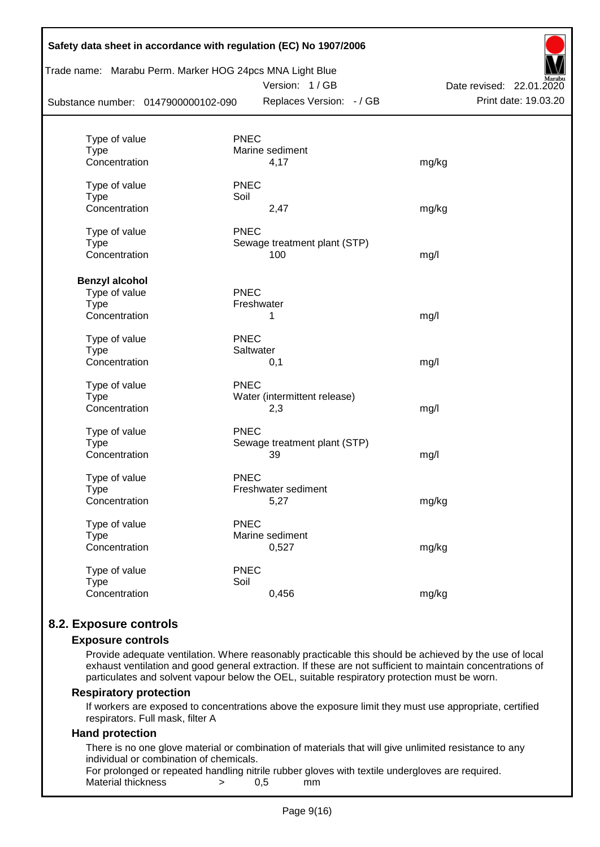| Substance number: 0147900000102-090 | Trade name: Marabu Perm. Marker HOG 24pcs MNA Light Blue<br>Version: 1/GB<br>Replaces Version: - / GB | Aarabu<br>Date revised: 22.01.2020<br>Print date: 19.03.20 |
|-------------------------------------|-------------------------------------------------------------------------------------------------------|------------------------------------------------------------|
|                                     |                                                                                                       |                                                            |
| Type of value<br><b>Type</b>        | <b>PNEC</b><br>Marine sediment                                                                        |                                                            |
| Concentration                       | 4,17                                                                                                  | mg/kg                                                      |
| Type of value                       | <b>PNEC</b>                                                                                           |                                                            |
| <b>Type</b>                         | Soil                                                                                                  |                                                            |
| Concentration                       | 2,47                                                                                                  | mg/kg                                                      |
| Type of value                       | <b>PNEC</b>                                                                                           |                                                            |
| <b>Type</b>                         | Sewage treatment plant (STP)                                                                          |                                                            |
| Concentration                       | 100                                                                                                   | mg/l                                                       |
| <b>Benzyl alcohol</b>               |                                                                                                       |                                                            |
| Type of value                       | PNEC                                                                                                  |                                                            |
| Type                                | Freshwater                                                                                            |                                                            |
| Concentration                       | 1                                                                                                     | mg/l                                                       |
| Type of value                       | <b>PNEC</b>                                                                                           |                                                            |
| <b>Type</b>                         | Saltwater                                                                                             |                                                            |
| Concentration                       | 0,1                                                                                                   | mg/l                                                       |
| Type of value                       | <b>PNEC</b>                                                                                           |                                                            |
| <b>Type</b>                         | Water (intermittent release)                                                                          |                                                            |
| Concentration                       | 2,3                                                                                                   | mg/l                                                       |
| Type of value                       | <b>PNEC</b>                                                                                           |                                                            |
| <b>Type</b>                         | Sewage treatment plant (STP)                                                                          |                                                            |
| Concentration                       | 39                                                                                                    | mg/l                                                       |
| Type of value                       | <b>PNEC</b>                                                                                           |                                                            |
| <b>Type</b>                         | Freshwater sediment                                                                                   |                                                            |
| Concentration                       | 5,27                                                                                                  | mg/kg                                                      |
| Type of value                       | <b>PNEC</b>                                                                                           |                                                            |
| <b>Type</b>                         | Marine sediment                                                                                       |                                                            |
| Concentration                       | 0,527                                                                                                 | mg/kg                                                      |
| Type of value                       | <b>PNEC</b>                                                                                           |                                                            |
| <b>Type</b>                         | Soil                                                                                                  |                                                            |
| Concentration                       | 0,456                                                                                                 | mg/kg                                                      |

# **8.2. Exposure controls**

#### **Exposure controls**

Provide adequate ventilation. Where reasonably practicable this should be achieved by the use of local exhaust ventilation and good general extraction. If these are not sufficient to maintain concentrations of particulates and solvent vapour below the OEL, suitable respiratory protection must be worn.

#### **Respiratory protection**

If workers are exposed to concentrations above the exposure limit they must use appropriate, certified respirators. Full mask, filter A

#### **Hand protection**

There is no one glove material or combination of materials that will give unlimited resistance to any individual or combination of chemicals.

For prolonged or repeated handling nitrile rubber gloves with textile undergloves are required. Material thickness  $\rightarrow$  0,5 mm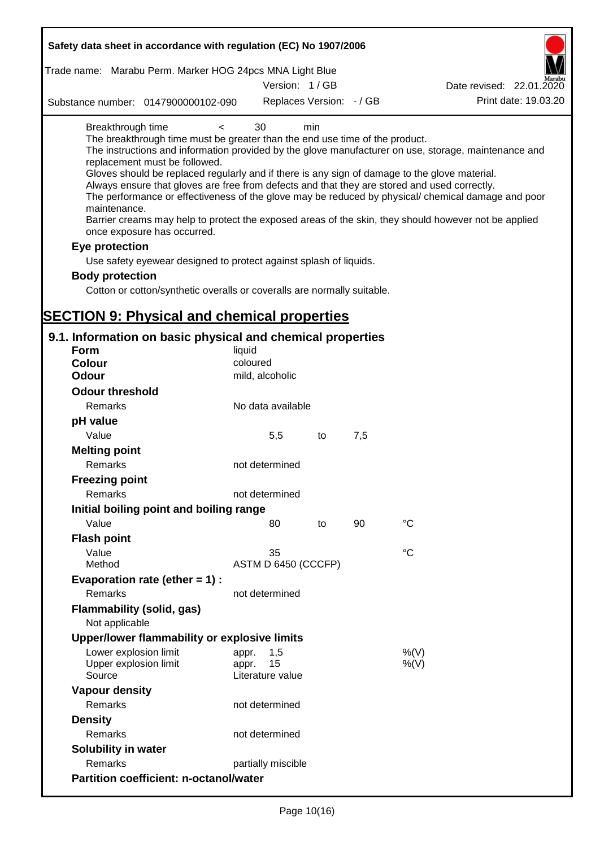| Safety data sheet in accordance with regulation (EC) No 1907/2006                                                                                                                                                                                                                                                                                                                            |                             |     |     |                                                                                                                                                                                                                                                                                                                    |
|----------------------------------------------------------------------------------------------------------------------------------------------------------------------------------------------------------------------------------------------------------------------------------------------------------------------------------------------------------------------------------------------|-----------------------------|-----|-----|--------------------------------------------------------------------------------------------------------------------------------------------------------------------------------------------------------------------------------------------------------------------------------------------------------------------|
| Trade name: Marabu Perm. Marker HOG 24pcs MNA Light Blue                                                                                                                                                                                                                                                                                                                                     |                             |     |     |                                                                                                                                                                                                                                                                                                                    |
|                                                                                                                                                                                                                                                                                                                                                                                              | Version: 1/GB               |     |     | Date revised: 22.01.2020                                                                                                                                                                                                                                                                                           |
| Substance number: 0147900000102-090                                                                                                                                                                                                                                                                                                                                                          | Replaces Version: - / GB    |     |     | Print date: 19.03.20                                                                                                                                                                                                                                                                                               |
| Breakthrough time<br>$\,<\,$<br>The breakthrough time must be greater than the end use time of the product.<br>replacement must be followed.<br>Gloves should be replaced regularly and if there is any sign of damage to the glove material.<br>Always ensure that gloves are free from defects and that they are stored and used correctly.<br>maintenance.<br>once exposure has occurred. | 30                          | min |     | The instructions and information provided by the glove manufacturer on use, storage, maintenance and<br>The performance or effectiveness of the glove may be reduced by physical/ chemical damage and poor<br>Barrier creams may help to protect the exposed areas of the skin, they should however not be applied |
| Eye protection                                                                                                                                                                                                                                                                                                                                                                               |                             |     |     |                                                                                                                                                                                                                                                                                                                    |
| Use safety eyewear designed to protect against splash of liquids.                                                                                                                                                                                                                                                                                                                            |                             |     |     |                                                                                                                                                                                                                                                                                                                    |
| <b>Body protection</b>                                                                                                                                                                                                                                                                                                                                                                       |                             |     |     |                                                                                                                                                                                                                                                                                                                    |
| Cotton or cotton/synthetic overalls or coveralls are normally suitable.                                                                                                                                                                                                                                                                                                                      |                             |     |     |                                                                                                                                                                                                                                                                                                                    |
|                                                                                                                                                                                                                                                                                                                                                                                              |                             |     |     |                                                                                                                                                                                                                                                                                                                    |
| <b>SECTION 9: Physical and chemical properties</b>                                                                                                                                                                                                                                                                                                                                           |                             |     |     |                                                                                                                                                                                                                                                                                                                    |
| 9.1. Information on basic physical and chemical properties                                                                                                                                                                                                                                                                                                                                   |                             |     |     |                                                                                                                                                                                                                                                                                                                    |
| <b>Form</b>                                                                                                                                                                                                                                                                                                                                                                                  | liquid                      |     |     |                                                                                                                                                                                                                                                                                                                    |
| <b>Colour</b>                                                                                                                                                                                                                                                                                                                                                                                | coloured                    |     |     |                                                                                                                                                                                                                                                                                                                    |
| Odour                                                                                                                                                                                                                                                                                                                                                                                        | mild, alcoholic             |     |     |                                                                                                                                                                                                                                                                                                                    |
| <b>Odour threshold</b>                                                                                                                                                                                                                                                                                                                                                                       |                             |     |     |                                                                                                                                                                                                                                                                                                                    |
| Remarks                                                                                                                                                                                                                                                                                                                                                                                      | No data available           |     |     |                                                                                                                                                                                                                                                                                                                    |
| pH value                                                                                                                                                                                                                                                                                                                                                                                     |                             |     |     |                                                                                                                                                                                                                                                                                                                    |
| Value                                                                                                                                                                                                                                                                                                                                                                                        | 5,5                         | to  | 7,5 |                                                                                                                                                                                                                                                                                                                    |
| <b>Melting point</b>                                                                                                                                                                                                                                                                                                                                                                         |                             |     |     |                                                                                                                                                                                                                                                                                                                    |
| Remarks                                                                                                                                                                                                                                                                                                                                                                                      | not determined              |     |     |                                                                                                                                                                                                                                                                                                                    |
| <b>Freezing point</b>                                                                                                                                                                                                                                                                                                                                                                        |                             |     |     |                                                                                                                                                                                                                                                                                                                    |
| Remarks                                                                                                                                                                                                                                                                                                                                                                                      | not determined              |     |     |                                                                                                                                                                                                                                                                                                                    |
| Initial boiling point and boiling range                                                                                                                                                                                                                                                                                                                                                      |                             |     |     |                                                                                                                                                                                                                                                                                                                    |
| Value                                                                                                                                                                                                                                                                                                                                                                                        | 80                          | to  | 90  | $^{\circ}C$                                                                                                                                                                                                                                                                                                        |
| <b>Flash point</b>                                                                                                                                                                                                                                                                                                                                                                           |                             |     |     |                                                                                                                                                                                                                                                                                                                    |
| Value                                                                                                                                                                                                                                                                                                                                                                                        | 35                          |     |     | $\rm ^{\circ}C$                                                                                                                                                                                                                                                                                                    |
| Method                                                                                                                                                                                                                                                                                                                                                                                       | ASTM D 6450 (CCCFP)         |     |     |                                                                                                                                                                                                                                                                                                                    |
| Evaporation rate (ether $= 1$ ) :                                                                                                                                                                                                                                                                                                                                                            |                             |     |     |                                                                                                                                                                                                                                                                                                                    |
| Remarks                                                                                                                                                                                                                                                                                                                                                                                      | not determined              |     |     |                                                                                                                                                                                                                                                                                                                    |
| Flammability (solid, gas)                                                                                                                                                                                                                                                                                                                                                                    |                             |     |     |                                                                                                                                                                                                                                                                                                                    |
| Not applicable                                                                                                                                                                                                                                                                                                                                                                               |                             |     |     |                                                                                                                                                                                                                                                                                                                    |
| Upper/lower flammability or explosive limits                                                                                                                                                                                                                                                                                                                                                 |                             |     |     |                                                                                                                                                                                                                                                                                                                    |
| Lower explosion limit<br>Upper explosion limit                                                                                                                                                                                                                                                                                                                                               | 1,5<br>appr.<br>15<br>appr. |     |     | %(V)<br>$%$ (V)                                                                                                                                                                                                                                                                                                    |
| Source                                                                                                                                                                                                                                                                                                                                                                                       | Literature value            |     |     |                                                                                                                                                                                                                                                                                                                    |
| <b>Vapour density</b>                                                                                                                                                                                                                                                                                                                                                                        |                             |     |     |                                                                                                                                                                                                                                                                                                                    |
| Remarks                                                                                                                                                                                                                                                                                                                                                                                      | not determined              |     |     |                                                                                                                                                                                                                                                                                                                    |
| <b>Density</b>                                                                                                                                                                                                                                                                                                                                                                               |                             |     |     |                                                                                                                                                                                                                                                                                                                    |
| Remarks                                                                                                                                                                                                                                                                                                                                                                                      | not determined              |     |     |                                                                                                                                                                                                                                                                                                                    |
| Solubility in water                                                                                                                                                                                                                                                                                                                                                                          |                             |     |     |                                                                                                                                                                                                                                                                                                                    |
| Remarks                                                                                                                                                                                                                                                                                                                                                                                      | partially miscible          |     |     |                                                                                                                                                                                                                                                                                                                    |
| <b>Partition coefficient: n-octanol/water</b>                                                                                                                                                                                                                                                                                                                                                |                             |     |     |                                                                                                                                                                                                                                                                                                                    |
|                                                                                                                                                                                                                                                                                                                                                                                              |                             |     |     |                                                                                                                                                                                                                                                                                                                    |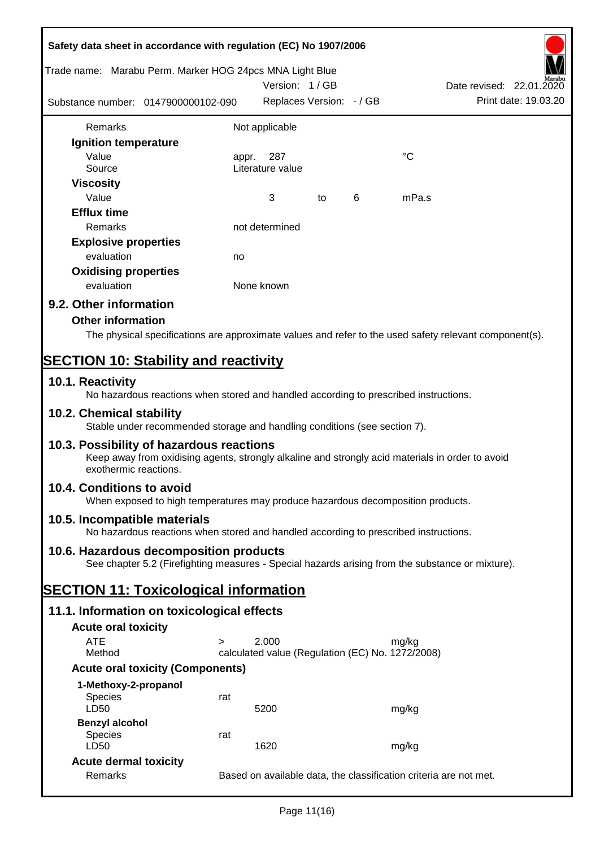| Safety data sheet in accordance with regulation (EC) No 1907/2006                                                                                                     |                          |                                                           |    |   |             |                                                                   |
|-----------------------------------------------------------------------------------------------------------------------------------------------------------------------|--------------------------|-----------------------------------------------------------|----|---|-------------|-------------------------------------------------------------------|
| Trade name: Marabu Perm. Marker HOG 24pcs MNA Light Blue                                                                                                              | Date revised: 22.01.2020 |                                                           |    |   |             |                                                                   |
| Substance number: 0147900000102-090                                                                                                                                   |                          | Replaces Version: - / GB                                  |    |   |             | Print date: 19.03.20                                              |
| Remarks                                                                                                                                                               |                          | Not applicable                                            |    |   |             |                                                                   |
| Ignition temperature                                                                                                                                                  |                          |                                                           |    |   |             |                                                                   |
| Value<br>Source                                                                                                                                                       | appr.                    | 287<br>Literature value                                   |    |   | $^{\circ}C$ |                                                                   |
|                                                                                                                                                                       |                          |                                                           |    |   |             |                                                                   |
| <b>Viscosity</b><br>Value                                                                                                                                             |                          | 3                                                         |    | 6 | mPa.s       |                                                                   |
| <b>Efflux time</b>                                                                                                                                                    |                          |                                                           | to |   |             |                                                                   |
| Remarks                                                                                                                                                               |                          | not determined                                            |    |   |             |                                                                   |
| <b>Explosive properties</b>                                                                                                                                           |                          |                                                           |    |   |             |                                                                   |
| evaluation                                                                                                                                                            |                          |                                                           |    |   |             |                                                                   |
| <b>Oxidising properties</b>                                                                                                                                           | no                       |                                                           |    |   |             |                                                                   |
| evaluation                                                                                                                                                            |                          | None known                                                |    |   |             |                                                                   |
|                                                                                                                                                                       |                          |                                                           |    |   |             |                                                                   |
| 9.2. Other information                                                                                                                                                |                          |                                                           |    |   |             |                                                                   |
| <b>Other information</b>                                                                                                                                              |                          |                                                           |    |   |             |                                                                   |
| The physical specifications are approximate values and refer to the used safety relevant component(s).                                                                |                          |                                                           |    |   |             |                                                                   |
| <b>SECTION 10: Stability and reactivity</b>                                                                                                                           |                          |                                                           |    |   |             |                                                                   |
| 10.1. Reactivity                                                                                                                                                      |                          |                                                           |    |   |             |                                                                   |
| No hazardous reactions when stored and handled according to prescribed instructions.                                                                                  |                          |                                                           |    |   |             |                                                                   |
| 10.2. Chemical stability<br>Stable under recommended storage and handling conditions (see section 7).                                                                 |                          |                                                           |    |   |             |                                                                   |
| 10.3. Possibility of hazardous reactions<br>Keep away from oxidising agents, strongly alkaline and strongly acid materials in order to avoid<br>exothermic reactions. |                          |                                                           |    |   |             |                                                                   |
| 10.4. Conditions to avoid<br>When exposed to high temperatures may produce hazardous decomposition products.                                                          |                          |                                                           |    |   |             |                                                                   |
| 10.5. Incompatible materials<br>No hazardous reactions when stored and handled according to prescribed instructions.                                                  |                          |                                                           |    |   |             |                                                                   |
| 10.6. Hazardous decomposition products                                                                                                                                |                          |                                                           |    |   |             |                                                                   |
| See chapter 5.2 (Firefighting measures - Special hazards arising from the substance or mixture).                                                                      |                          |                                                           |    |   |             |                                                                   |
| <b>SECTION 11: Toxicological information</b>                                                                                                                          |                          |                                                           |    |   |             |                                                                   |
| 11.1. Information on toxicological effects                                                                                                                            |                          |                                                           |    |   |             |                                                                   |
|                                                                                                                                                                       |                          |                                                           |    |   |             |                                                                   |
| <b>Acute oral toxicity</b>                                                                                                                                            |                          |                                                           |    |   |             |                                                                   |
| <b>ATE</b><br>$\geq$<br>Method                                                                                                                                        |                          | 2.000<br>calculated value (Regulation (EC) No. 1272/2008) |    |   | mg/kg       |                                                                   |
| <b>Acute oral toxicity (Components)</b>                                                                                                                               |                          |                                                           |    |   |             |                                                                   |
|                                                                                                                                                                       |                          |                                                           |    |   |             |                                                                   |
| 1-Methoxy-2-propanol<br><b>Species</b>                                                                                                                                | rat                      |                                                           |    |   |             |                                                                   |
| LD50                                                                                                                                                                  |                          | 5200                                                      |    |   | mg/kg       |                                                                   |
| <b>Benzyl alcohol</b>                                                                                                                                                 |                          |                                                           |    |   |             |                                                                   |
| <b>Species</b>                                                                                                                                                        | rat                      |                                                           |    |   |             |                                                                   |
| LD50                                                                                                                                                                  |                          | 1620                                                      |    |   | mg/kg       |                                                                   |
| <b>Acute dermal toxicity</b>                                                                                                                                          |                          |                                                           |    |   |             |                                                                   |
| Remarks                                                                                                                                                               |                          |                                                           |    |   |             | Based on available data, the classification criteria are not met. |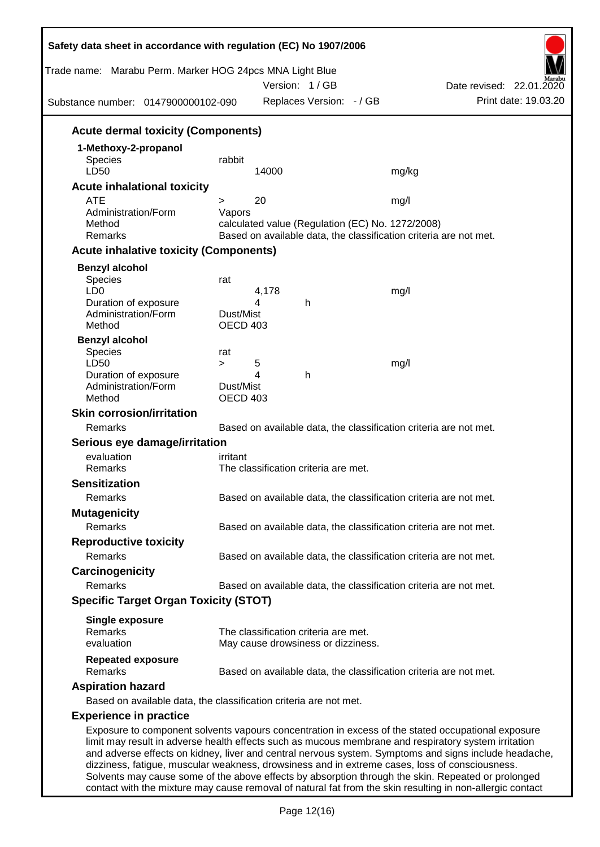| Trade name: Marabu Perm. Marker HOG 24pcs MNA Light Blue<br>Substance number: 0147900000102-090    |                 |            | Version: 1/GB<br>Replaces Version: - / GB |                                                  | Date revised: 22.01.2020<br>Print date: 19.03.20                                                     |
|----------------------------------------------------------------------------------------------------|-----------------|------------|-------------------------------------------|--------------------------------------------------|------------------------------------------------------------------------------------------------------|
| <b>Acute dermal toxicity (Components)</b>                                                          |                 |            |                                           |                                                  |                                                                                                      |
| 1-Methoxy-2-propanol                                                                               |                 |            |                                           |                                                  |                                                                                                      |
| Species                                                                                            | rabbit          |            |                                           |                                                  |                                                                                                      |
| LD50                                                                                               |                 | 14000      |                                           | mg/kg                                            |                                                                                                      |
| <b>Acute inhalational toxicity</b><br><b>ATE</b>                                                   | >               | 20         |                                           | mg/l                                             |                                                                                                      |
| Administration/Form                                                                                | Vapors          |            |                                           |                                                  |                                                                                                      |
| Method                                                                                             |                 |            |                                           | calculated value (Regulation (EC) No. 1272/2008) |                                                                                                      |
| Remarks                                                                                            |                 |            |                                           |                                                  | Based on available data, the classification criteria are not met.                                    |
| <b>Acute inhalative toxicity (Components)</b>                                                      |                 |            |                                           |                                                  |                                                                                                      |
| <b>Benzyl alcohol</b>                                                                              |                 |            |                                           |                                                  |                                                                                                      |
| Species                                                                                            | rat             |            |                                           |                                                  |                                                                                                      |
| LD <sub>0</sub><br>Duration of exposure                                                            |                 | 4,178<br>4 | h                                         | mg/l                                             |                                                                                                      |
| Administration/Form                                                                                | Dust/Mist       |            |                                           |                                                  |                                                                                                      |
| Method                                                                                             | <b>OECD 403</b> |            |                                           |                                                  |                                                                                                      |
| <b>Benzyl alcohol</b>                                                                              |                 |            |                                           |                                                  |                                                                                                      |
| Species                                                                                            | rat             |            |                                           |                                                  |                                                                                                      |
| LD50<br>Duration of exposure                                                                       | $\geq$          | 5<br>4     | h                                         | mg/l                                             |                                                                                                      |
| Administration/Form                                                                                | Dust/Mist       |            |                                           |                                                  |                                                                                                      |
| Method                                                                                             | <b>OECD 403</b> |            |                                           |                                                  |                                                                                                      |
| <b>Skin corrosion/irritation</b>                                                                   |                 |            |                                           |                                                  |                                                                                                      |
| Remarks                                                                                            |                 |            |                                           |                                                  | Based on available data, the classification criteria are not met.                                    |
| Serious eye damage/irritation                                                                      |                 |            |                                           |                                                  |                                                                                                      |
| evaluation                                                                                         | irritant        |            |                                           |                                                  |                                                                                                      |
| Remarks                                                                                            |                 |            | The classification criteria are met.      |                                                  |                                                                                                      |
| <b>Sensitization</b>                                                                               |                 |            |                                           |                                                  |                                                                                                      |
| Remarks                                                                                            |                 |            |                                           |                                                  | Based on available data, the classification criteria are not met.                                    |
| <b>Mutagenicity</b>                                                                                |                 |            |                                           |                                                  |                                                                                                      |
| Remarks                                                                                            |                 |            |                                           |                                                  | Based on available data, the classification criteria are not met.                                    |
| <b>Reproductive toxicity</b>                                                                       |                 |            |                                           |                                                  |                                                                                                      |
| Remarks                                                                                            |                 |            |                                           |                                                  | Based on available data, the classification criteria are not met.                                    |
| Carcinogenicity                                                                                    |                 |            |                                           |                                                  |                                                                                                      |
| Remarks                                                                                            |                 |            |                                           |                                                  | Based on available data, the classification criteria are not met.                                    |
| <b>Specific Target Organ Toxicity (STOT)</b>                                                       |                 |            |                                           |                                                  |                                                                                                      |
| <b>Single exposure</b>                                                                             |                 |            |                                           |                                                  |                                                                                                      |
| Remarks                                                                                            |                 |            | The classification criteria are met.      |                                                  |                                                                                                      |
| evaluation                                                                                         |                 |            | May cause drowsiness or dizziness.        |                                                  |                                                                                                      |
| <b>Repeated exposure</b><br>Remarks                                                                |                 |            |                                           |                                                  | Based on available data, the classification criteria are not met.                                    |
| <b>Aspiration hazard</b>                                                                           |                 |            |                                           |                                                  |                                                                                                      |
| Based on available data, the classification criteria are not met.                                  |                 |            |                                           |                                                  |                                                                                                      |
| <b>Experience in practice</b>                                                                      |                 |            |                                           |                                                  |                                                                                                      |
| Exposure to component solvents vapours concentration in excess of the stated occupational exposure |                 |            |                                           |                                                  | limit may result in adverse health effects such as mucous membrane and respiratory system irritation |

dizziness, fatigue, muscular weakness, drowsiness and in extreme cases, loss of consciousness. Solvents may cause some of the above effects by absorption through the skin. Repeated or prolonged contact with the mixture may cause removal of natural fat from the skin resulting in non-allergic contact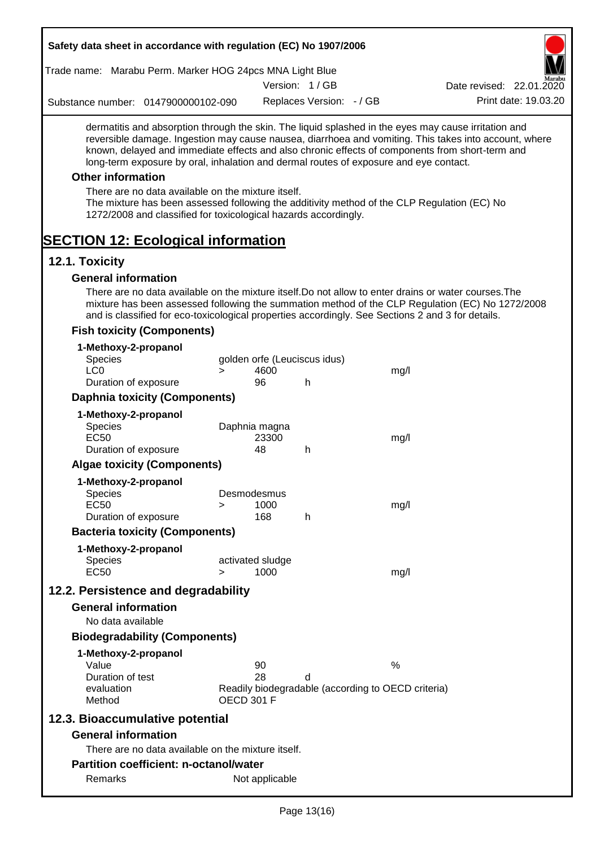| Safety data sheet in accordance with regulation (EC) No 1907/2006                                                                                                                                                                                                                                                                                                                                                                                                                                                                                                                                 |        |                               |                                    |                                                            |                                                                                                       |
|---------------------------------------------------------------------------------------------------------------------------------------------------------------------------------------------------------------------------------------------------------------------------------------------------------------------------------------------------------------------------------------------------------------------------------------------------------------------------------------------------------------------------------------------------------------------------------------------------|--------|-------------------------------|------------------------------------|------------------------------------------------------------|-------------------------------------------------------------------------------------------------------|
| Trade name: Marabu Perm. Marker HOG 24pcs MNA Light Blue                                                                                                                                                                                                                                                                                                                                                                                                                                                                                                                                          |        |                               |                                    |                                                            |                                                                                                       |
|                                                                                                                                                                                                                                                                                                                                                                                                                                                                                                                                                                                                   |        |                               | Version: 1/GB                      |                                                            | Date revised: 22.01.2020                                                                              |
| Substance number: 0147900000102-090                                                                                                                                                                                                                                                                                                                                                                                                                                                                                                                                                               |        |                               | Replaces Version: - / GB           |                                                            | Print date: 19.03.20                                                                                  |
| dermatitis and absorption through the skin. The liquid splashed in the eyes may cause irritation and<br>known, delayed and immediate effects and also chronic effects of components from short-term and<br>long-term exposure by oral, inhalation and dermal routes of exposure and eye contact.<br><b>Other information</b><br>There are no data available on the mixture itself.<br>The mixture has been assessed following the additivity method of the CLP Regulation (EC) No<br>1272/2008 and classified for toxicological hazards accordingly.<br><b>SECTION 12: Ecological information</b> |        |                               |                                    |                                                            | reversible damage. Ingestion may cause nausea, diarrhoea and vomiting. This takes into account, where |
| 12.1. Toxicity                                                                                                                                                                                                                                                                                                                                                                                                                                                                                                                                                                                    |        |                               |                                    |                                                            |                                                                                                       |
| <b>General information</b>                                                                                                                                                                                                                                                                                                                                                                                                                                                                                                                                                                        |        |                               |                                    |                                                            |                                                                                                       |
| There are no data available on the mixture itself. Do not allow to enter drains or water courses. The<br>and is classified for eco-toxicological properties accordingly. See Sections 2 and 3 for details.                                                                                                                                                                                                                                                                                                                                                                                        |        |                               |                                    |                                                            | mixture has been assessed following the summation method of the CLP Regulation (EC) No 1272/2008      |
| <b>Fish toxicity (Components)</b>                                                                                                                                                                                                                                                                                                                                                                                                                                                                                                                                                                 |        |                               |                                    |                                                            |                                                                                                       |
| 1-Methoxy-2-propanol<br>Species<br>LC <sub>0</sub><br>Duration of exposure                                                                                                                                                                                                                                                                                                                                                                                                                                                                                                                        | $\geq$ | 4600<br>96                    | golden orfe (Leuciscus idus)<br>h. | mg/l                                                       |                                                                                                       |
| <b>Daphnia toxicity (Components)</b>                                                                                                                                                                                                                                                                                                                                                                                                                                                                                                                                                              |        |                               |                                    |                                                            |                                                                                                       |
| 1-Methoxy-2-propanol                                                                                                                                                                                                                                                                                                                                                                                                                                                                                                                                                                              |        |                               |                                    |                                                            |                                                                                                       |
| Species<br><b>EC50</b><br>Duration of exposure                                                                                                                                                                                                                                                                                                                                                                                                                                                                                                                                                    |        | Daphnia magna<br>23300<br>48  | h                                  | mg/l                                                       |                                                                                                       |
| <b>Algae toxicity (Components)</b>                                                                                                                                                                                                                                                                                                                                                                                                                                                                                                                                                                |        |                               |                                    |                                                            |                                                                                                       |
| 1-Methoxy-2-propanol                                                                                                                                                                                                                                                                                                                                                                                                                                                                                                                                                                              |        |                               |                                    |                                                            |                                                                                                       |
| <b>Species</b><br><b>EC50</b>                                                                                                                                                                                                                                                                                                                                                                                                                                                                                                                                                                     | $\geq$ | Desmodesmus<br>1000           |                                    | mg/l                                                       |                                                                                                       |
| Duration of exposure                                                                                                                                                                                                                                                                                                                                                                                                                                                                                                                                                                              |        | 168                           | h.                                 |                                                            |                                                                                                       |
| <b>Bacteria toxicity (Components)</b>                                                                                                                                                                                                                                                                                                                                                                                                                                                                                                                                                             |        |                               |                                    |                                                            |                                                                                                       |
| 1-Methoxy-2-propanol<br><b>Species</b><br><b>EC50</b>                                                                                                                                                                                                                                                                                                                                                                                                                                                                                                                                             | $\geq$ | activated sludge<br>1000      |                                    | mg/l                                                       |                                                                                                       |
| 12.2. Persistence and degradability                                                                                                                                                                                                                                                                                                                                                                                                                                                                                                                                                               |        |                               |                                    |                                                            |                                                                                                       |
| <b>General information</b><br>No data available                                                                                                                                                                                                                                                                                                                                                                                                                                                                                                                                                   |        |                               |                                    |                                                            |                                                                                                       |
| <b>Biodegradability (Components)</b>                                                                                                                                                                                                                                                                                                                                                                                                                                                                                                                                                              |        |                               |                                    |                                                            |                                                                                                       |
| 1-Methoxy-2-propanol<br>Value<br>Duration of test<br>evaluation<br>Method                                                                                                                                                                                                                                                                                                                                                                                                                                                                                                                         |        | 90<br>28<br><b>OECD 301 F</b> | d                                  | $\%$<br>Readily biodegradable (according to OECD criteria) |                                                                                                       |
| 12.3. Bioaccumulative potential                                                                                                                                                                                                                                                                                                                                                                                                                                                                                                                                                                   |        |                               |                                    |                                                            |                                                                                                       |
| <b>General information</b>                                                                                                                                                                                                                                                                                                                                                                                                                                                                                                                                                                        |        |                               |                                    |                                                            |                                                                                                       |
| There are no data available on the mixture itself.                                                                                                                                                                                                                                                                                                                                                                                                                                                                                                                                                |        |                               |                                    |                                                            |                                                                                                       |
| <b>Partition coefficient: n-octanol/water</b>                                                                                                                                                                                                                                                                                                                                                                                                                                                                                                                                                     |        |                               |                                    |                                                            |                                                                                                       |
| Remarks                                                                                                                                                                                                                                                                                                                                                                                                                                                                                                                                                                                           |        | Not applicable                |                                    |                                                            |                                                                                                       |
|                                                                                                                                                                                                                                                                                                                                                                                                                                                                                                                                                                                                   |        |                               |                                    |                                                            |                                                                                                       |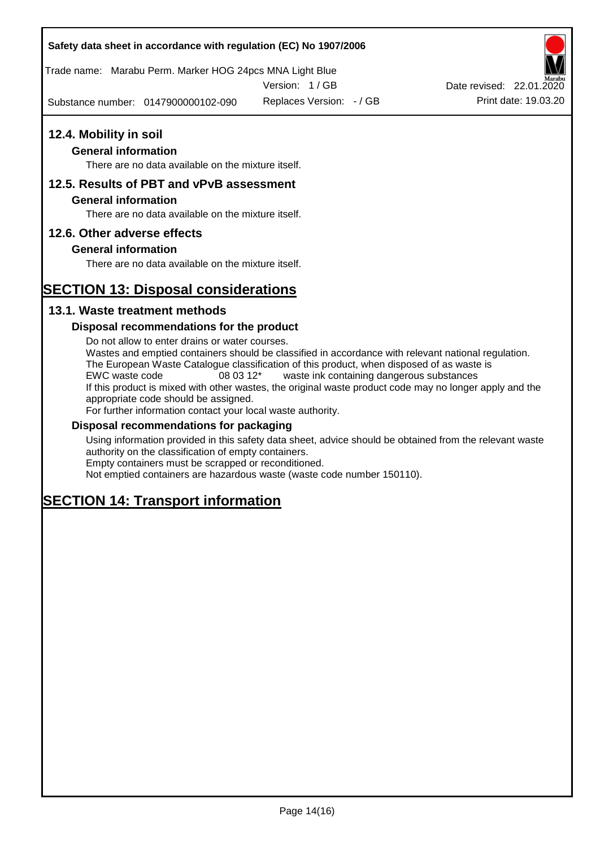Trade name: Marabu Perm. Marker HOG 24pcs MNA Light Blue

Version: 1 / GB

Substance number: 0147900000102-090

# **12.4. Mobility in soil**

# **General information**

There are no data available on the mixture itself.

# **12.5. Results of PBT and vPvB assessment**

### **General information**

There are no data available on the mixture itself.

# **12.6. Other adverse effects**

# **General information**

There are no data available on the mixture itself.

# **SECTION 13: Disposal considerations**

# **13.1. Waste treatment methods**

### **Disposal recommendations for the product**

Do not allow to enter drains or water courses. Wastes and emptied containers should be classified in accordance with relevant national regulation. The European Waste Catalogue classification of this product, when disposed of as waste is EWC waste code 08 03 12\* waste ink containing dangerous substances If this product is mixed with other wastes, the original waste product code may no longer apply and the appropriate code should be assigned. For further information contact your local waste authority.

### **Disposal recommendations for packaging**

Using information provided in this safety data sheet, advice should be obtained from the relevant waste authority on the classification of empty containers. Empty containers must be scrapped or reconditioned.

Not emptied containers are hazardous waste (waste code number 150110).

# **SECTION 14: Transport information**



Replaces Version:  $-$  / GB Print date: 19.03.20 Date revised: 22.01.2020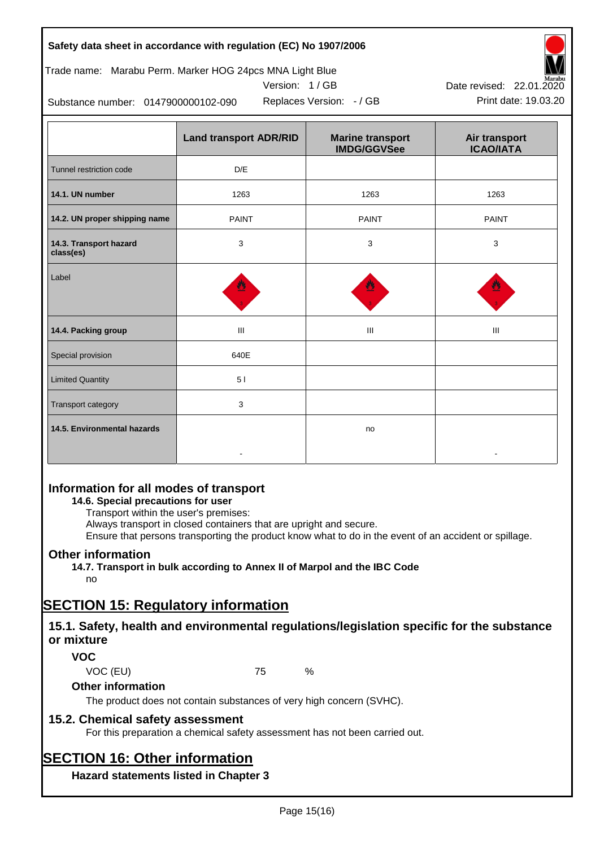# Trade name: Marabu Perm. Marker HOG 24pcs MNA Light Blue





Substance number: 0147900000102-090



|                                     | <b>Land transport ADR/RID</b> | <b>Marine transport</b><br><b>IMDG/GGVSee</b> | Air transport<br><b>ICAO/IATA</b> |
|-------------------------------------|-------------------------------|-----------------------------------------------|-----------------------------------|
| Tunnel restriction code             | D/E                           |                                               |                                   |
| 14.1. UN number                     | 1263                          | 1263                                          | 1263                              |
| 14.2. UN proper shipping name       | <b>PAINT</b>                  | <b>PAINT</b>                                  | <b>PAINT</b>                      |
| 14.3. Transport hazard<br>class(es) | 3                             | 3                                             | 3                                 |
| Label                               |                               |                                               |                                   |
| 14.4. Packing group                 | Ш                             | Ш                                             | Ш                                 |
| Special provision                   | 640E                          |                                               |                                   |
| <b>Limited Quantity</b>             | 5 <sub>1</sub>                |                                               |                                   |
| Transport category                  | 3                             |                                               |                                   |
| 14.5. Environmental hazards         |                               | no                                            |                                   |

# **Information for all modes of transport**

# **14.6. Special precautions for user**

Transport within the user's premises:

Always transport in closed containers that are upright and secure.

Ensure that persons transporting the product know what to do in the event of an accident or spillage.

# **Other information**

**14.7. Transport in bulk according to Annex II of Marpol and the IBC Code**

# no

# **SECTION 15: Regulatory information**

# **15.1. Safety, health and environmental regulations/legislation specific for the substance or mixture**

# **VOC**

VOC (EU) 75 %

# **Other information**

The product does not contain substances of very high concern (SVHC).

# **15.2. Chemical safety assessment**

For this preparation a chemical safety assessment has not been carried out.

# **SECTION 16: Other information**

**Hazard statements listed in Chapter 3**